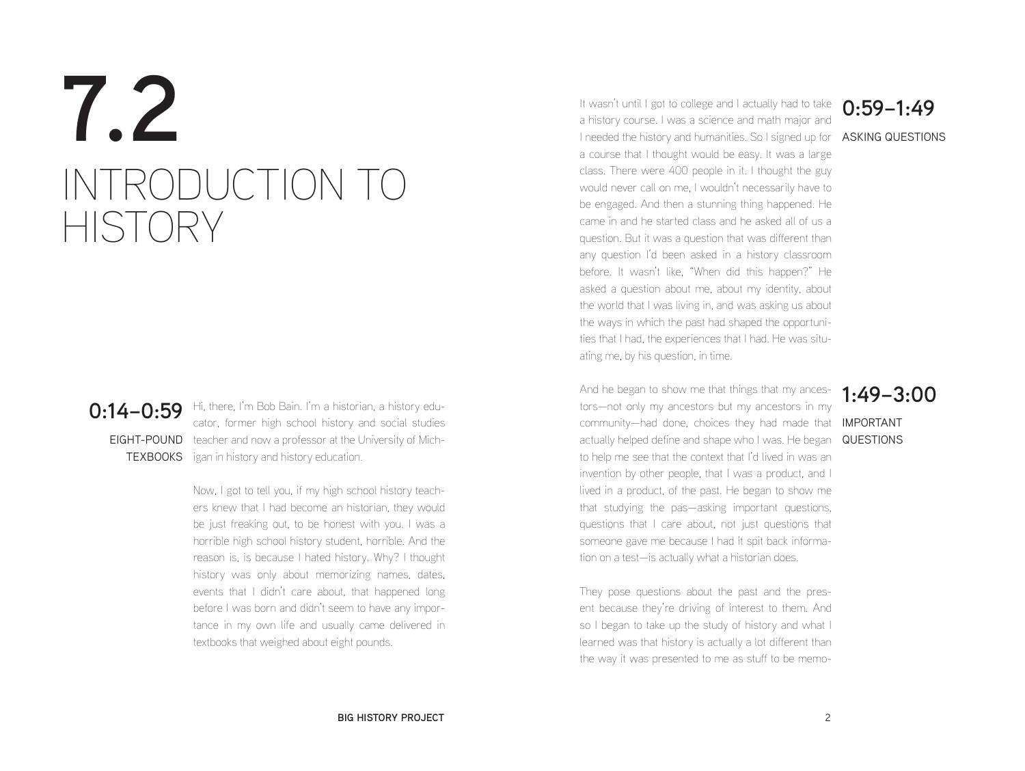# **7.2** INTRODUCTION TO **HISTORY**

**0:14–0:59** Hi, there, I'm Bob Bain. I'm a historian, a history edu-EIGHT-POUND teacher and now a professor at the University of Mich-TEXBOOKS igan in history and history education. cator, former high school history and social studies

> Now, I got to tell you, if my high school history teachers knew that I had become an historian, they would be just freaking out, to be honest with you. I was a horrible high school history student, horrible. And the reason is, is because I hated history. Why? I thought history was only about memorizing names, dates, events that I didn't care about, that happened long before I was born and didn't seem to have any importance in my own life and usually came delivered in textbooks that weighed about eight pounds.

I needed the history and humanities. So I signed up for **ASKING QUESTIONS** It wasn't until I got to college and I actually had to take a history course. I was a science and math major and a course that I thought would be easy. It was a large class. There were 400 people in it. I thought the guy would never call on me, I wouldn't necessarily have to be engaged. And then a stunning thing happened. He came in and he started class and he asked all of us a question. But it was a question that was different than any question I'd been asked in a history classroom before. It wasn't like, "When did this happen?" He asked a question about me, about my identity, about the world that I was living in, and was asking us about the ways in which the past had shaped the opportunities that I had, the experiences that I had. He was situating me, by his question, in time.

And he began to show me that things that my ances- **1:49–3:00** community—had done, choices they had made that **IMPORTANT** actually helped define and shape who I was. He began QUESTIONS tors—not only my ancestors but my ancestors in my to help me see that the context that I'd lived in was an invention by other people, that I was a product, and I lived in a product, of the past. He began to show me that studying the pas—asking important questions, questions that I care about, not just questions that someone gave me because I had it spit back information on a test—is actually what a historian does.

They pose questions about the past and the present because they're driving of interest to them. And so I began to take up the study of history and what I learned was that history is actually a lot different than the way it was presented to me as stuff to be memo-

### **0:59–1:49**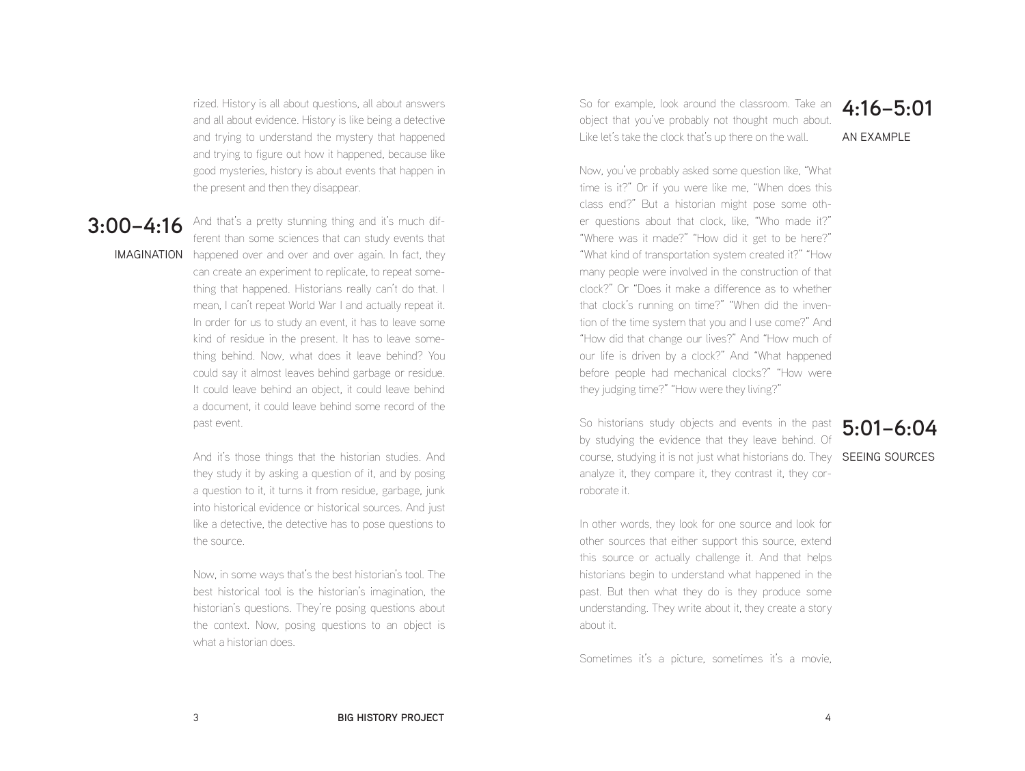rized. History is all about questions, all about answers and all about evidence. History is like being a detective and trying to understand the mystery that happened and trying to figure out how it happened, because like good mysteries, history is about events that happen in the present and then they disappear.

### **3:00–4:16**

**IMAGINATION** happened over and over and over again. In fact, they And that's a pretty stunning thing and it's much different than some sciences that can study events that can create an experiment to replicate, to repeat something that happened. Historians really can't do that. I mean, I can't repeat World War I and actually repeat it. In order for us to study an event, it has to leave some kind of residue in the present. It has to leave something behind. Now, what does it leave behind? You could say it almost leaves behind garbage or residue. It could leave behind an object, it could leave behind a document, it could leave behind some record of the past event.

> And it's those things that the historian studies. And they study it by asking a question of it, and by posing a question to it, it turns it from residue, garbage, junk into historical evidence or historical sources. And just like a detective, the detective has to pose questions to the source.

> Now, in some ways that's the best historian's tool. The best historical tool is the historian's imagination, the historian's questions. They're posing questions about the context. Now, posing questions to an object is what a historian does.

So for example, look around the classroom. Take an **4:16–5:01** object that you've probably not thought much about. Like let's take the clock that's up there on the wall.

AN EXAMPLE

Now, you've probably asked some question like, "What time is it?" Or if you were like me, "When does this class end?" But a historian might pose some other questions about that clock, like, "Who made it?" "Where was it made?" "How did it get to be here?" "What kind of transportation system created it?" "How many people were involved in the construction of that clock?" Or "Does it make a difference as to whether that clock's running on time?" "When did the invention of the time system that you and I use come?" And "How did that change our lives?" And "How much of our life is driven by a clock?" And "What happened before people had mechanical clocks?" "How were they judging time?" "How were they living?"

So historians study objects and events in the past **5:01–6:04** by studying the evidence that they leave behind. Of course, studying it is not just what historians do. They SEEING SOURCES analyze it, they compare it, they contrast it, they corroborate it.

In other words, they look for one source and look for other sources that either support this source, extend this source or actually challenge it. And that helps historians begin to understand what happened in the past. But then what they do is they produce some understanding. They write about it, they create a story about it.

Sometimes it's a picture, sometimes it's a movie,